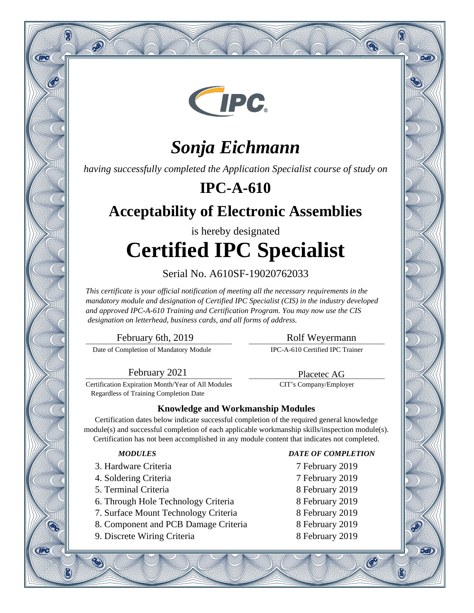

# *Sonja Eichmann*

*having successfully completed the Application Specialist course of study on*

## **IPC-A-610**

## **Acceptability of Electronic Assemblies**

# is hereby designated **Certified IPC Specialist**

### Serial No. A610SF-19020762033

*This certificate is your official notification of meeting all the necessary requirements in the mandatory module and designation of Certified IPC Specialist (CIS) in the industry developed and approved IPC-A-610 Training and Certification Program. You may now use the CIS designation on letterhead, business cards, and all forms of address.*

\_\_\_\_\_\_\_\_\_\_\_\_\_\_\_\_\_\_\_\_\_\_\_\_\_\_\_\_\_\_\_\_\_\_\_\_\_\_\_\_\_\_ February 6th, 2019

Q

**CIPC** 

**CIPC** 

 $\mathcal{P}$ 

Date of Completion of Mandatory Module

### \_\_\_\_\_\_\_\_\_\_\_\_\_\_\_\_\_\_\_\_\_\_\_\_\_\_\_\_\_\_\_\_\_\_\_\_\_\_\_ Rolf Weyermann

Q

oan

9वारे

®

IPC-A-610 Certified IPC Trainer

\_\_\_\_\_\_\_\_\_\_\_\_\_\_\_\_\_\_\_\_\_\_\_\_\_\_\_\_\_\_\_\_\_\_\_\_\_\_\_ Placetec AG CIT's Company/Employer

\_\_\_\_\_\_\_\_\_\_\_\_\_\_\_\_\_\_\_\_\_\_\_\_\_\_\_\_\_\_\_\_\_\_\_\_\_\_\_\_\_\_ February 2021

Certification Expiration Month/Year of All Modules Regardless of Training Completion Date

### **Knowledge and Workmanship Modules**

Certification dates below indicate successful completion of the required general knowledge module(s) and successful completion of each applicable workmanship skills/inspection module(s). Certification has not been accomplished in any module content that indicates not completed.

- 3. Hardware Criteria 7 February 2019
- 4. Soldering Criteria 7 February 2019
- 5. Terminal Criteria 8 February 2019
- 6. Through Hole Technology Criteria 8 February 2019
- 7. Surface Mount Technology Criteria 8 February 2019
- 8. Component and PCB Damage Criteria 8 February 2019
- 9. Discrete Wiring Criteria 8 February 2019

### *MODULES DATE OF COMPLETION*

- 
- 
- 
- 
- 
- 
- 

 $\mathcal{C}$